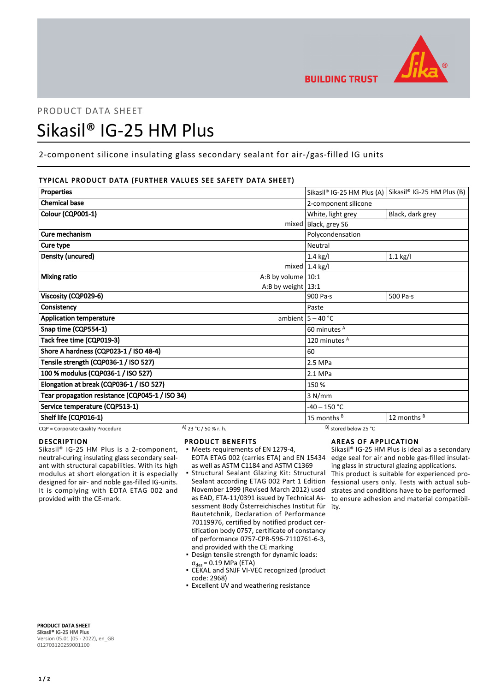

# PRODUCT DATA SHEET Sikasil® IG-25 HM Plus

# 2-component silicone insulating glass secondary sealant for air-/gas-filled IG units

# TYPICAL PRODUCT DATA (FURTHER VALUES SEE SAFETY DATA SHEET)

| Properties                                      |                       |                      |                                  | Sikasil® IG-25 HM Plus (A) Sikasil® IG-25 HM Plus (B) |
|-------------------------------------------------|-----------------------|----------------------|----------------------------------|-------------------------------------------------------|
| <b>Chemical base</b>                            |                       |                      | 2-component silicone             |                                                       |
| Colour (CQP001-1)                               |                       |                      | White, light grey                | Black, dark grey                                      |
|                                                 |                       |                      | mixed   Black, grey S6           |                                                       |
| Cure mechanism                                  |                       |                      | Polycondensation                 |                                                       |
| Cure type                                       |                       |                      | Neutral                          |                                                       |
| Density (uncured)                               |                       |                      | $1.4$ kg/l                       | $1.1$ kg/l                                            |
|                                                 |                       |                      | mixed $ 1.4 \text{ kg}/I$        |                                                       |
| <b>Mixing ratio</b>                             |                       | A:B by volume $10:1$ |                                  |                                                       |
|                                                 |                       | A:B by weight $13:1$ |                                  |                                                       |
| Viscosity (CQP029-6)                            |                       |                      | 900 Pa $\cdot$ s                 | 500 Pa $\cdot$ s                                      |
| Consistency                                     |                       |                      | Paste                            |                                                       |
| <b>Application temperature</b>                  |                       |                      | ambient $5 - 40$ °C              |                                                       |
| Snap time (CQP554-1)                            |                       |                      | 60 minutes <sup>A</sup>          |                                                       |
| Tack free time (CQP019-3)                       |                       | 120 minutes A        |                                  |                                                       |
| Shore A hardness (CQP023-1 / ISO 48-4)          |                       | 60                   |                                  |                                                       |
| Tensile strength (CQP036-1 / ISO 527)           |                       | 2.5 MPa              |                                  |                                                       |
| 100 % modulus (CQP036-1 / ISO 527)              |                       | 2.1 MPa              |                                  |                                                       |
| Elongation at break (CQP036-1 / ISO 527)        |                       | 150 %                |                                  |                                                       |
| Tear propagation resistance (CQP045-1 / ISO 34) |                       | 3 N/mm               |                                  |                                                       |
| Service temperature (CQP513-1)                  |                       |                      | $-40 - 150 °C$                   |                                                       |
| Shelf life (CQP016-1)                           |                       |                      | 15 months $B$                    | 12 months B                                           |
| CQP = Corporate Quality Procedure               | A) 23 °C / 50 % r. h. |                      | <sup>B)</sup> stored below 25 °C |                                                       |

## DESCRIPTION

Sikasil® IG-25 HM Plus is a 2-component, neutral-curing insulating glass secondary sealant with structural capabilities. With its high modulus at short elongation it is especially designed for air- and noble gas-filled IG-units. It is complying with EOTA ETAG 002 and provided with the CE-mark.

- PRODUCT BENEFITS
- Meets requirements of EN 1279-4, EOTA ETAG 002 (carries ETA) and EN 15434 as well as ASTM C1184 and ASTM C1369
- Structural Sealant Glazing Kit: Structural Sealant according ETAG 002 Part 1 Edition November 1999 (Revised March 2012) used as EAD, ETA-11/0391 issued by Technical Assessment Body Österreichisches Institut für ity. Bautetchnik, Declaration of Performance 70119976, certified by notified product certification body 0757, certificate of constancy of performance 0757-CPR-596-7110761-6-3, and provided with the CE marking ▪
- Design tensile strength for dynamic loads:  $\sigma_{\text{des}} = 0.19 \text{ MPa (ETA)}$
- CEKAL and SNJF VI-VEC recognized (product code: 2968)
- **Excellent UV and weathering resistance**

# AREAS OF APPLICATION

Sikasil® IG-25 HM Plus is ideal as a secondary edge seal for air and noble gas-filled insulating glass in structural glazing applications. This product is suitable for experienced professional users only. Tests with actual substrates and conditions have to be performed to ensure adhesion and material compatibil-

PRODUCT DATA SHEET Sikasil® IG-25 HM Plus Version 05.01 (05 - 2022), en\_GB 012703120259001100